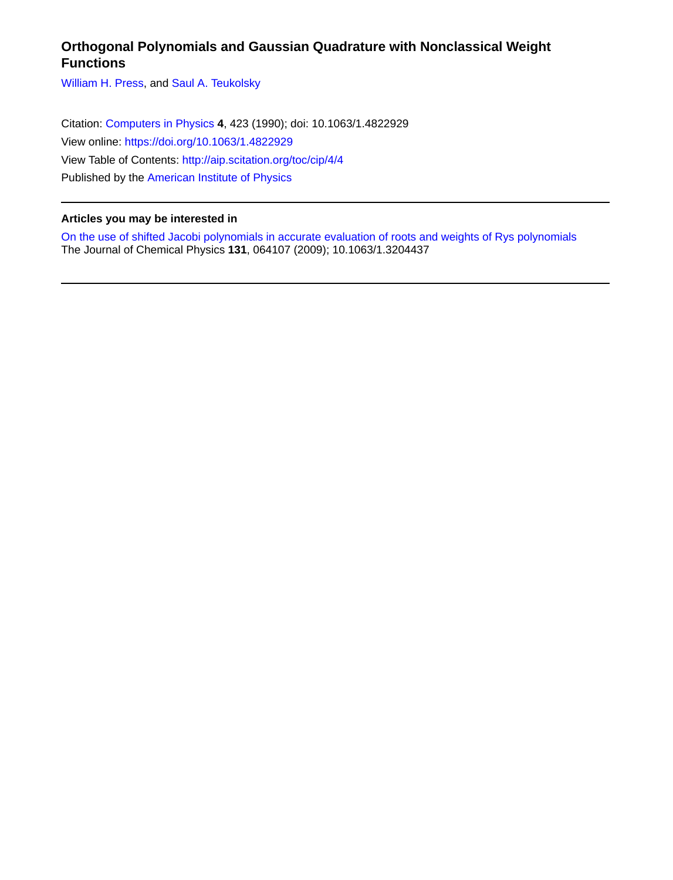## **Orthogonal Polynomials and Gaussian Quadrature with Nonclassical Weight Functions**

[William H. Press,](http://aip.scitation.org/author/Press%2C+William+H) and [Saul A. Teukolsky](http://aip.scitation.org/author/Teukolsky%2C+Saul+A)

Citation: [Computers in Physics](/loi/cip) **4**, 423 (1990); doi: 10.1063/1.4822929 View online: <https://doi.org/10.1063/1.4822929> View Table of Contents:<http://aip.scitation.org/toc/cip/4/4> Published by the [American Institute of Physics](http://aip.scitation.org/publisher/)

### **Articles you may be interested in**

[On the use of shifted Jacobi polynomials in accurate evaluation of roots and weights of Rys polynomials](http://aip.scitation.org/doi/abs/10.1063/1.3204437) The Journal of Chemical Physics **131**, 064107 (2009); 10.1063/1.3204437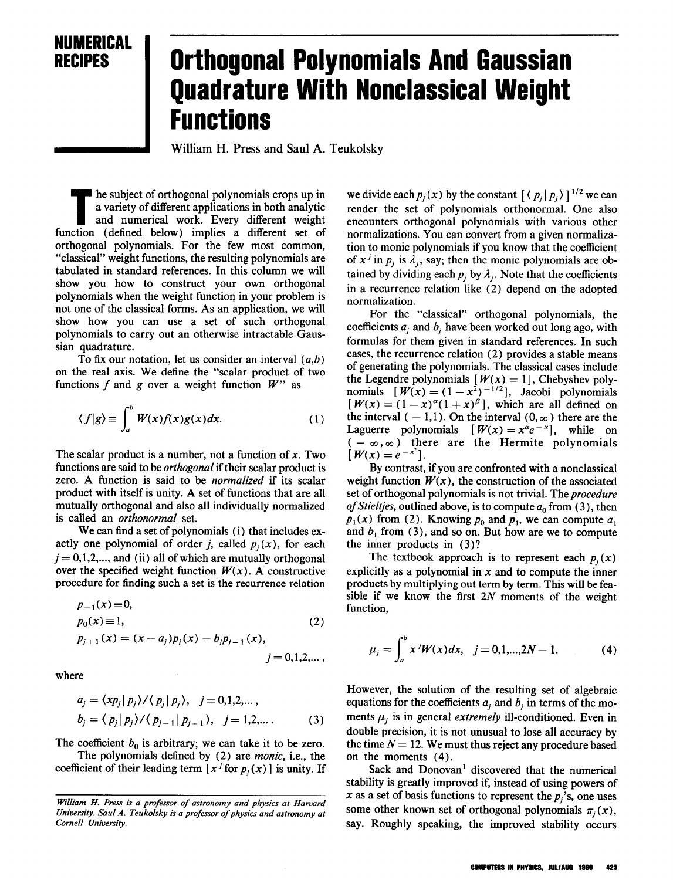# **RECIPES Orthogonal Polynomials And Gaussian Quadrature With Nonclassical Weight Functions**

William H. Press and Saul A. Teukolsky

The subject of orthogonal polynomials crops up in<br>a variety of different applications in both analytic<br>and numerical work. Every different weight<br>function (defined below) implies a different set of he subject of orthogonal polynomials crops up in a variety of different applications in both analytic and numerical work. Every different weight orthogonal polynomials. For the few most common, "classical" weight functions, the resulting polynomials are tabulated in standard references. In this column we will show you how to construct your own orthogonal polynomials when the weight function in your problem is not one of the classical forms. As an application, we will show how you can use a set of such orthogonal polynomials to carry out an otherwise intractable Gaussian quadrature.

To fix our notation, let us consider an interval  $(a,b)$ on the real axis. We define the "scalar product of two functions f and *g* over a weight function *W"* as

$$
\langle f|g\rangle \equiv \int_{a}^{b} W(x)f(x)g(x)dx.
$$
 (1)

The scalar product is a number, not a function of *x.* Two functions are said to be orthogonal if their scalar product is zero. A function is said to be normalized if its scalar product with itself is unity. A set of functions that are all mutually orthogonal and also all individually normalized is called an orthonormal set.

We can find a set of polynomials (i) that includes exactly one polynomial of order j, called  $p_i(x)$ , for each  $j = 0,1,2,...$ , and (ii) all of which are mutually orthogonal over the specified weight function  $W(x)$ . A constructive procedure for finding such a set is the recurrence relation

$$
p_{-1}(x) \equiv 0,
$$
  
\n
$$
p_0(x) \equiv 1,
$$
  
\n
$$
p_{j+1}(x) = (x - a_j)p_j(x) - b_jp_{j-1}(x),
$$
  
\n
$$
j = 0,1,2,...,
$$

where

$$
a_j = \langle xp_j | p_j \rangle / \langle p_j | p_j \rangle, \quad j = 0, 1, 2, \dots, b_j = \langle p_j | p_j \rangle / \langle p_{j-1} | p_{j-1} \rangle, \quad j = 1, 2, \dots.
$$
 (3)

The coefficient  $b_0$  is arbitrary; we can take it to be zero.

The polynomials defined by (2) are monic, i.e., the coefficient of their leading term  $[x^{j}$  for  $p_{i}(x)$  is unity. If

we divide each  $p_i(x)$  by the constant  $\left[\langle p_i | p_j \rangle\right]^{1/2}$  we can render the set of polynomials orthonormal. One also encounters orthogonal polynomials with various other normalizations. You can convert from a given normalization to monic polynomials if you know that the coefficient of  $x^j$  in  $p_j$  is  $\lambda_j$ , say; then the monic polynomials are obtained by dividing each  $p_i$ , by  $\lambda_i$ . Note that the coefficients in a recurrence relation like (2) depend on the adopted normalization.

For the "classical" orthogonal polynomials, the coefficients  $a_i$  and  $b_j$  have been worked out long ago, with formulas for them given in standard references. In such cases, the recurrence relation (2) provides a stable means of generating the polynomials. The classical cases include the Legendre polynomials  $[W(x) = 1]$ , Chebyshev polynomials  $[W(x) = (1-x^2)^{-1/2}]$ , Jacobi polynomials  $[W(x) = (1-x)^{\alpha}(1+x)^{\beta}]$ , which are all defined on the interval  $(-1,1)$ . On the interval  $(0,\infty)$  there are the Laguerre polynomials  $[W(x) = x^{\alpha}e^{-x}]$ , while on  $(-\infty,\infty)$  there are the Hermite polynomials  $[W(x) = e^{-x^2}]$ .

By contrast, if you are confronted with a nonclassical weight function  $W(x)$ , the construction of the associated set of orthogonal polynomials is not trivial. The procedure of Stieltjes, outlined above, is to compute  $a_0$  from (3), then  $p_1(x)$  from (2). Knowing  $p_0$  and  $p_1$ , we can compute  $a_1$ and  $b_1$  from (3), and so on. But how are we to compute the inner products in (3)?

The textbook approach is to represent each  $p_i(x)$ explicitly as a polynomial in *x* and to compute the inner products by multiplying out term by term. This will be feasible if we know the first  $2N$  moments of the weight function,

$$
\mu_j = \int_a^b x^j W(x) dx, \quad j = 0, 1, \dots, 2N - 1.
$$
 (4)

However, the solution of the resulting set of algebraic equations for the coefficients  $a_i$  and  $b_j$  in terms of the moments  $\mu_i$  is in general *extremely* ill-conditioned. Even in double precision, it is not unusual to lose all accuracy by the time  $N = 12$ . We must thus reject any procedure based on the moments (4).

Sack and Donovan<sup>1</sup> discovered that the numerical stability is greatly improved if, instead of using powers of  $x$  as a set of basis functions to represent the  $p_i$ 's, one uses some other known set of orthogonal polynomials  $\pi_i(x)$ , say. Roughly speaking, the improved stability occurs

*William H. Press is a professor of astronomy and physics at Harvard University. Saul A. Teukolsky is a professor of physics and astronomy at Cornell University.*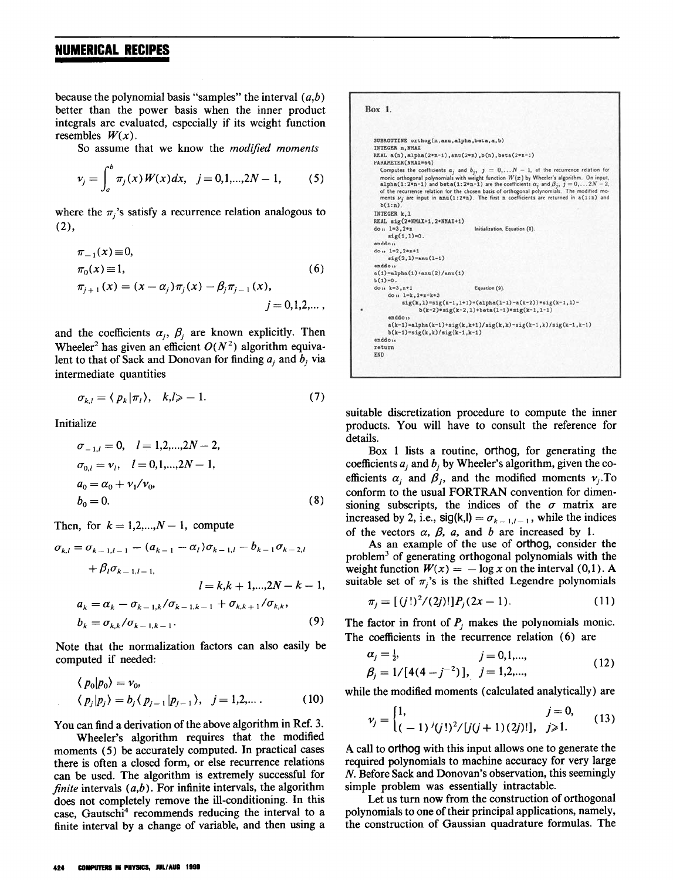#### **NUMERICAL RECIPES**

because the polynomial basis "samples" the interval *(a,b)*  better than the power basis when the inner product integrals are evaluated, especially if its weight function resembles  $W(x)$ .

So assume that we know the *modified moments* 

$$
v_j = \int_a^b \pi_j(x) W(x) dx, \quad j = 0, 1, \dots, 2N - 1,
$$
 (5)

where the  $\pi_i$ 's satisfy a recurrence relation analogous to (2),

$$
\pi_{-1}(x) \equiv 0,
$$
  
\n
$$
\pi_0(x) \equiv 1,
$$
  
\n
$$
\pi_{j+1}(x) = (x - \alpha_j)\pi_j(x) - \beta_j \pi_{j-1}(x),
$$
  
\n
$$
j = 0, 1, 2, \dots,
$$

and the coefficients  $\alpha_i$ ,  $\beta_i$  are known explicitly. Then Wheeler<sup>2</sup> has given an efficient  $O(N^2)$  algorithm equivalent to that of Sack and Donovan for finding  $a_i$  and  $b_i$  via intermediate quantities

$$
\sigma_{k,l} = \langle p_k | \pi_l \rangle, \quad k, l \geqslant -1. \tag{7}
$$

Initialize

$$
\sigma_{-1,l} = 0, \quad l = 1, 2, \dots, 2N - 2,
$$
  
\n
$$
\sigma_{0,l} = \nu_l, \quad l = 0, 1, \dots, 2N - 1,
$$
  
\n
$$
a_0 = \alpha_0 + \nu_1/\nu_0,
$$
  
\n
$$
b_0 = 0.
$$
\n(8)

Then, for  $k = 1, 2, ..., N - 1$ , compute

$$
\sigma_{k,l} = \sigma_{k-1,l-1} - (a_{k-1} - \alpha_l)\sigma_{k-1,l} - b_{k-1}\sigma_{k-2,l}
$$
  
+  $\beta_l \sigma_{k-1,l-1}$ ,  

$$
l = k, k+1,...,2N-k-1,
$$
  

$$
a_k = \alpha_k - \sigma_{k-1,k}/\sigma_{k-1,k-1} + \sigma_{k,k+1}/\sigma_{k,k},
$$
  

$$
b_k = \sigma_{k,k}/\sigma_{k-1,k-1}.
$$
 (9)

Note that the normalization factors can also easily be computed if needed:

$$
\langle p_0|p_0\rangle = v_0,
$$
  

$$
\langle p_j|p_j\rangle = b_j \langle p_{j-1}|p_{j-1}\rangle, \quad j = 1, 2, \dots.
$$
 (10)

You can find a derivation of the above algorithm in Ref. 3.

Wheeler's algorithm requires that the modified moments (5) be accurately computed. In practical cases there is often a closed form, or else recurrence relations can be used. The algorithm is extremely successful for *finite* intervals  $(a,b)$ . For infinite intervals, the algorithm does not completely remove the ill-conditioning. In this case, Gautschi<sup>4</sup> recommends reducing the interval to a finite interval by a change of variable, and then using a

Box 1. **SOaROO'TlWt orlbos(a.&A'IiII.alph,beh, •• b) nnCtl III.IPUX k.tiL .Ca) ,alpha(2.n-l) ,engU-n). b(n) , beta(2.D-l)**  PARAKETEJl(IIMU·6~) **Computes the coefficients ., .. nd .J' j** ~ **0, .. . N - 1. of the ,Hunc",,, fel.lion rOt monk ortholOl"lal polyrtOmi.,. with wti,hl fun<lion Wb) by Wheele,'" ."orilhm On input, alpha(1 : 2-n-2) .nd bata(1: 2eD - 1) arc the** coefficient I **oJ and** *P"* **j :;;; 0, . ..** *2N* **- 2. o( the ,.cu rr ence relalion (Ot tht: (hOMft buij. 01 Oflhoc.Onlt polynomial, The modiftcd moo mtnt, "1 arc input in uQ.(1:2-n) The: 6'\$1 0** c:oe.n;c:~nll **ate ,c:lu,ne:d in .. (1;:n)** ~nd b(. :.). INTECE!\ k,l REAL o1g(2 • • IlU",2-.KU'1) **do .. 1-3,2-0**  o1g(l.1).O. **onddo II do u 1- 2,2.0+1**  o1g(2 .1) ..... (1-1) **onddo II .( l)-dphaC 1) •• :nu(2)/e.nu( 1)**  b(.)·O . **do It 1-11:. 2-I\ .. t.3**  ,i&(k .U·oig(k-',l+.).(.lpha(1- .)-.(k-2» •• i&(k-',l) b(k-2)'oIg(k-2 .1)-b.toO- .) · 0I8(k-•• l-.) **.rutdou**  .(k-!).alph.(k-')'oIg(k ,k-.)/';&(k ,k)-'i&(k-. ,k)/,1!(k-'.k-') b(k-!).';g(k ,k)/dg(k-',k-.) **.,,,,1.40 .. return**  END

suitable discretization procedure to compute the inner products. You will have to consult the reference for details.

Box 1 lists a routine, orthog, for generating the coefficients  $a_j$  and  $b_j$  by Wheeler's algorithm, given the coefficients  $\alpha_i$  and  $\beta_i$ , and the modified moments  $\nu_i$ . To conform to the usual FORTRAN convention for dimensioning subscripts, the indices of the  $\sigma$  matrix are increased by 2, i.e.,  $sig(k, I) = \sigma_{k - 1, I - 1}$ , while the indices of the vectors  $\alpha$ ,  $\beta$ ,  $\alpha$ , and  $\beta$  are increased by 1.

As an example of the use of orthog, consider the problem3 of generating orthogonal polynomials with the weight function  $W(x) = -\log x$  on the interval (0,1). A suitable set of  $\pi$ ,'s is the shifted Legendre polynomials

$$
\pi_j = [(j!)^2/(2j)!]P_j(2x-1). \tag{11}
$$

The factor in front of  $P_j$  makes the polynomials monic. The coefficients in the recurrence relation (6) are

$$
\alpha_j = \frac{1}{2}, \qquad j = 0, 1, \dots, \n\beta_i = 1/[4(4-j^{-2})], \quad j = 1, 2, \dots,
$$
\n(12)

while the modified moments (calculated analytically) are

$$
v_j = \begin{cases} 1, & j = 0, \\ (-1)^j (j!)^2 / [j(j+1)(2j)!], & j \ge 1. \end{cases}
$$
 (13)

A call to orthog with this input allows one to generate the required polynomials to machine accuracy for very large *N.* Before Sack and Donovan's observation, this seemingly simple problem was essentially intractable.

Let us turn now from the construction of orthogonal polynomials to one of their principal applications, namely, the construction of Gaussian quadrature formulas. The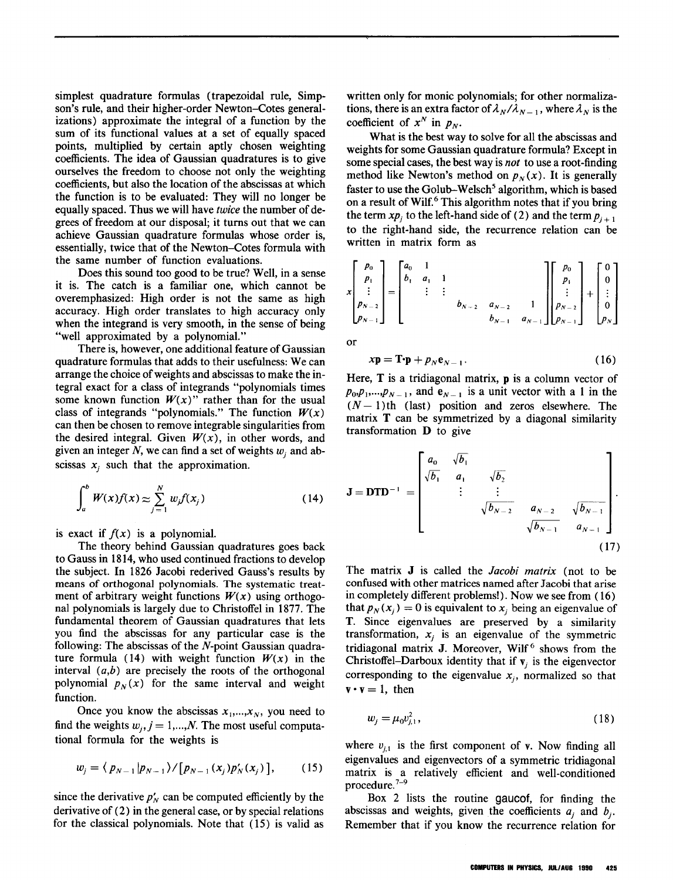simplest quadrature formulas (trapezoidal rule, Simpson's rule, and their higher-order Newton-Cotes generalizations) approximate the integral of a function by the sum of its functional values at a set of equally spaced points, multiplied by certain aptly chosen weighting coefficients. The idea of Gaussian quadratures is to give ourselves the freedom to choose not only the weighting coefficients, but also the location of the abscissas at which the function is to be evaluated: They will no longer be equally spaced. Thus we will have *twice* the number of degrees of freedom at our disposal; it turns out that we can achieve Gaussian quadrature formulas whose order is, essentially, twice that of the Newton-Cotes formula with the same number of function evaluations.

Does this sound too good to be true? Well, in a sense it is. The catch is a familiar one, which cannot be overemphasized: High order is not the same as high accuracy. High order translates to high accuracy only when the integrand is very smooth, in the sense of being "well approximated by a polynomial."

There is, however, one additional feature of Gaussian quadrature formulas that adds to their usefulness: We can arrange the choice of weights and abscissas to make the integral exact for a class of integrands "polynomials times some known function  $W(x)$ " rather than for the usual class of integrands "polynomials." The function  $W(x)$ can then be chosen to remove integrable singularities from the desired integral. Given  $W(x)$ , in other words, and given an integer  $N$ , we can find a set of weights  $w_i$  and abscissas  $x_i$  such that the approximation.

$$
\int_{a}^{b} W(x)f(x) \approx \sum_{j=1}^{N} w_{j}f(x_{j})
$$
\n(14)

is exact if  $f(x)$  is a polynomial.

The theory behind Gaussian quadratures goes back to Gauss in 1814, who used continued fractions to develop the subject. In 1826 Jacobi rederived Gauss's results by means of orthogonal polynomials. The systematic treatment of arbitrary weight functions  $W(x)$  using orthogonal polynomials is largely due to Christoffel in 1877. The fundamental theorem of Gaussian quadratures that lets you find the abscissas for any particular case is the following: The abscissas of the N-point Gaussian quadrature formula (14) with weight function  $W(x)$  in the interval *(a,b)* are precisely the roots of the orthogonal polynomial  $p_N(x)$  for the same interval and weight function.

Once you know the abscissas  $x_1, \ldots, x_N$ , you need to find the weights  $w_i$ ,  $j = 1,...,N$ . The most useful computational formula for the weights is

$$
w_j = \langle p_{N-1} | p_{N-1} \rangle / [p_{N-1}(x_j) p_N'(x_j)], \qquad (15)
$$

since the derivative  $p'_N$  can be computed efficiently by the derivative of (2) in the general case, or by special relations for the classical polynomials. Note that (15) is valid as written only for monic polynomials; for other normalizations, there is an extra factor of  $\lambda_N / \lambda_{N-1}$ , where  $\lambda_N$  is the coefficient of  $x^N$  in  $p_N$ .

What is the best way to solve for all the abscissas and weights for some Gaussian quadrature formula? Except in some special cases, the best way is *not* to use a root-finding method like Newton's method on  $p_N(x)$ . It is generally faster to use the Golub-Welsch<sup>5</sup> algorithm, which is based on a result of Wilf.<sup>6</sup> This algorithm notes that if you bring the term  $xp_i$  to the left-hand side of (2) and the term  $p_{i+1}$ to the right-hand side, the recurrence relation can be written in matrix form as

$$
x\begin{bmatrix} p_0 \\ p_1 \\ \vdots \\ p_{N-2} \\ p_{N-1} \end{bmatrix} = \begin{bmatrix} a_0 & 1 \\ b_1 & a_1 & 1 \\ & \vdots & \vdots \\ & & b_{N-2} & a_{N-2} \\ & & & b_{N-1} & a_{N-1} \end{bmatrix} \begin{bmatrix} p_0 \\ p_1 \\ \vdots \\ p_{N-2} \\ p_{N-1} \end{bmatrix} + \begin{bmatrix} 0 \\ 0 \\ \vdots \\ 0 \\ p_N \end{bmatrix}
$$

or

$$
xp = \mathbf{T} \cdot \mathbf{p} + p_N \mathbf{e}_{N-1}.
$$
 (16)

Here,  $T$  is a tridiagonal matrix,  $p$  is a column vector of  $p_0, p_1, \ldots, p_{N-1}$ , and  $e_{N-1}$  is a unit vector with a 1 in the  $(N - 1)$ th (last) position and zeros elsewhere. The matrix T can be symmetrized by a diagonal similarity transformation D to give

$$
\mathbf{J} = \mathbf{D} \mathbf{T} \mathbf{D}^{-1} = \begin{bmatrix} a_0 & \sqrt{b_1} \\ \sqrt{b_1} & a_1 & \sqrt{b_2} \\ \vdots & \vdots & \vdots \\ \sqrt{b_{N-2}} & a_{N-2} & \sqrt{b_{N-1}} \\ \sqrt{b_{N-1}} & a_{N-1} \end{bmatrix}.
$$
\n(17)

The matrix J is called the *Jacobi matrix* (not to be confused with other matrices named after Jacobi that arise in completely different problems!). Now we see from (16) that  $p_N(x_i) = 0$  is equivalent to  $x_i$  being an eigenvalue of T. Since eigenvalues are preserved by a similarity transformation,  $x_j$  is an eigenvalue of the symmetric tridiagonal matrix J. Moreover, Wilf<sup>6</sup> shows from the Christoffel-Darboux identity that if  $v_i$  is the eigenvector corresponding to the eigenvalue  $x_i$ , normalized so that  $\mathbf{v} \cdot \mathbf{v} = 1$ , then

$$
w_j = \mu_0 v_{j,1}^2, \tag{18}
$$

where  $v_{i,1}$  is the first component of v. Now finding all eigenvalues and eigenvectors of a symmetric tridiagonal matrix is a relatively efficient and well-conditioned procedure. 7-9

Box 2 lists the routine gaucof, for finding the abscissas and weights, given the coefficients  $a_j$  and  $b_j$ . Remember that if you know the recurrence relation for